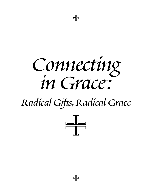

– SF

# *Radical Gifts,Radical Grace*

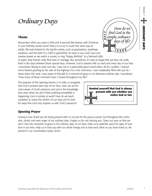# *Ordinary Days*

# *Theme*

Remember when you were a child and it seemed like forever until Christmas or your birthday would come? Many of us act in much the same way as adults. We look forward to the big life events, such as graduations, weddings, vacations, and the birth of a child or grandchild. It's easy to see God's love and creative power as we watch a sunset, or sing "Happy Birthday" to a beloved child,

or watch dear friends unite their lives in marriage. But sometimes it's easy to forget that our lives are really lived in the days between those special days. However, God is present with us each and every day of our lives. I remember driving to work one day. I was not in a particularly good mood when, all of a sudden I noticed some flowers growing by the side of the highway. For a few moments, I was inexplicably filled with joy! As I drove down the road, I was aware of that gift of a moment of grace in an otherwise ordinary day. I wondered, "How many of those moments have I missed throughout my life?"

The purpose of this opening session is to help us recognize that God is present each day of our lives. How can we be more aware of God's presence and rest in the knowledge that, even when we don't think anything remarkable is happening, God is actively at work? How do we teach ourselves to notice the rhythm of our days and to look for ways that God may surprise us with God's presence?

**Remind yourself that God is always present with you whether you notice God or not.**

*<sup>I</sup> <sup>S</sup> <sup>S</sup> <sup>U</sup> E*

*How do we* 

*find God in the simple,ordinary days of life?*

*L I F μ* 

# *Opening Prayer*

Gracious God, thank you for being present with us not just for the joyous events, but throughout the confusion, doubt, and even anger of our ordinary days. Forgive us for not noticing you. Open our eyes so that we don't miss the moments of grace in the ordinary days of our lives. Help us to patiently watch for signs of your love in our lives. Help us to love you with our whole beings and to love each other as you have loved us. Be present in our conversation today. Amen.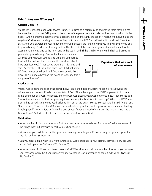# *What does the Bible say?*

#### **Genesis 28:10-17**

<sup>10</sup>Jacob left Beer-sheba and went toward Haran. <sup>11</sup>He came to a certain place and stayed there for the night, because the sun had set. Taking one of the stones of the place, he put it under his head and lay down in that place. 12And he dreamed that there was a ladder set up on the earth, the top of it reaching to heaven; and the angels of God were ascending and descending on it. 13And the LORD stood beside him and said, "I am the LORD, the God of Abraham your father and the God of Isaac; the land on which you lie I will give to you and to your offspring; <sup>14</sup>and your offspring shall be like the dust of the earth, and you shall spread abroad to the west and to the east and to the north and to the south; and all the families of the earth shall be blessed in

you and in your offspring. 15Know that I am with you and will keep you wherever you go, and will bring you back to this land; for I will not leave you until I have done what I have promised you." <sup>16</sup>Then Jacob woke from his sleep and said, "Surely the LORD is in this place—and I did not know it!" 17And he was afraid, and said, "How awesome is this place! This is none other than the house of God, and this is the gate of heaven."



#### **Exodus 3:1-6**

1 Moses was keeping the flock of his father-in-law Jethro, the priest of Midian; he led his flock beyond the wilderness, and came to Horeb, the mountain of God. 2 There the angel of the LORD appeared to him in a flame of fire out of a bush; he looked, and the bush was blazing, yet it was not consumed. 3 Then Moses said, "I must turn aside and look at this great sight, and see why the bush is not burned up." 4 When the LORD saw that he had turned aside to see, God called to him out of the bush, "Moses, Moses!" And he said, "Here I am." 5 Then he said, "Come no closer! Remove the sandals from your feet, for the place on which you are standing is holy ground." 6 He said further, "I am the God of your father, the God of Abraham, the God of Isaac, and the God of Jacob." And Moses hid his face, for he was afraid to look at God.

#### **Think About…**

- What promise did God make to Jacob? How is that same promise relevant for us today? What are some of the things that God promises to each of us? (Genesis 28)
- When have you had the sense that you were standing on holy ground? How or why did you recognize that situation as holy? (Exodus 3)
- Can you recall a time when you were surprised by God's presence in your ordinary activities? How did you sense God's presence? (Genesis 28, Exodus 3)
- What response did Moses and Jacob have to God? What does that tell us about them? What do you imagine your response would be if you suddenly found yourself in God's presence or heard God's voice? (Genesis 28, Exodus 3)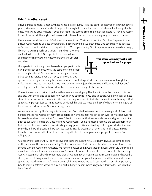# *What do others say?*

I have a friend in Iringa, Tanzania, whose name is Pastor Koko. He is the pastor of Incarnation's partner congregation, Mkwawa Lutheran Church. He says that one night he heard the voice of God—out loud, not just in his head. He says he actually heard it twice that night. The second time his brother also heard it. I have no reason to doubt my friend. That night, God's voice called Pastor Koko in an extraordinary way to become a pastor.

I have never heard the voice of God speak to me out loud. That's not to say that God hasn't spoken to me. I believe God speaks to us a lot. Unfortunately, I also believe that we often miss God speaking to us because we're too busy or too distracted to pay attention. We keep expecting God to speak to us in extraordinary ways,

like from a burning bush, or a vision in our dreams, or even out loud. When, in fact, God speaks to us more often in seemingly ordinary ways on what we believe are just ordinary days.

God speaks to us through people—ordinary people in ordinary places such as home, work, the store, the coffee shop, or the neighborhood. God speaks to us through ordinary things such as nature, a book, a movie, or a picture. God



speaks to us through our thoughts, our memories, or our feelings. God certainly speaks to us through the Bible. We just need to pay attention. We need to look beyond just what we see and learn to look for God's everyday incredible activity all around us. Life is much more than just what we see.

One of the reasons to gather together with others in a small group like this is to have the chance to discuss and pray with others and to ponder how God may be speaking to you and to others. God often speaks most clearly to us as we are in community. We need the help of others to test whether what we are hearing is God speaking, or perhaps just our imaginations or wishful thinking. We need the help of others to try and figure out those places and ways that God is speaking to us.

We are surrounded by God's holy activity every day. God called to Moses out of a burning bush. A bush that perhaps Moses had walked by many times before as he went about his day-to-day work of watching over his father-in-law's sheep. Notice that God doesn't begin to speak until Moses actually stops and goes over to the bush to see what is going on. Once he stops, God speaks: "Come no closer! Remove the sandals from your feet, for the place on which you are standing is holy ground." We are standing on holy ground all of the time. Every day is holy, all ground is holy, because God is already present at all times and in all places, making them holy. We just need to learn to stop and pay attention to those places and people from which God is calling to us.

As a follower of Jesus Christ, I don't believe that there are such things as ordinary days. Jesus came to bring us life, abundant life each and every day. That is not ordinary. That is incredibly extraordinary. We have a relationship with the God of the Universe. We have the power of that God already at work within us. Our lives are more than only what we can see around us. As some of my favorite verses from the book of Ephesians say, God can accomplish abundantly far more than all we can ask or imagine. We can't even imagine what God is already accomplishing in us, through us, and around us. We are given the privilege and the responsibility to spread the Good News of God's love in Jesus Christ everywhere we go in our world. We are given power by God to make a different world, to play our part in bringing about God's kingdom in this world. How can that be ordinary?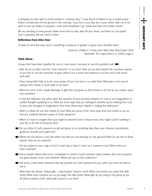In keeping my eyes open to God's activity in "ordinary days," I have found it helpful to say a simple prayer before my feet even hit the ground in the morning. "God, this is your day, this is your world. Help me to be open to see you today in everyone I meet and everywhere I go. Speak and help me to listen. Amen."

We are standing on holy ground. Make some time to stop, take off your shoes, and listen to God speak. God is speaking. We just need to listen.

#### **Reflections from** *Alive Now:*

"A state of mind that sees God in everything is evidence of growth in grace and a thankful heart."

Quote by Charles G. Finney, from *Alive Now,* March/April 2005 (Nashville: The Upper Room, © 2005), page 5.

#### **Think About…**

*Groups that have been together for one or more years may want to use the questions with* •

- Why do we so often miss the "God moments" in our lives? How can we look beyond the mundane aspects of our lives to see the moments of grace where God is active and present in our lives and in the world each day?
- Does having faith help us to be more aware of how God acts in our daily lives? What gets in the way of seeing God's activity or God's gifts in our lives?
- What are some of the simple blessings or gifts that God gives us that remind us of God as our creator, savior, and comforter?
- In the first reflection, the writer raises the question of how we know whether it's God or our imaginations or wishful thoughts speaking to us. What are some ways that you distinguish whether you're hearing from God or your own thoughts or imagination? How have others been helpful in making this distinction?
- When or where do you feel closest to God? What are some of the many ways that God comes to you so that you suddenly become aware of God's presence?
- When is it hard to imagine that God might be present? Even in those times, how might God be working in your life or the life of someone else?
- **Do** you think of God's presence as gift and grace or as something else (fear, awe, intrusion, punishment, guidance, shoulds and ought tos)?
- **Where are the places in your life where you feel you are standing on holy ground? What do you feel in those** places? How do you respond?
	- Do you expect to see a sign of God in each day or does it come as a surprise to you? When have you been surprised?
- **Some people believe that God is completely in control of each moment, others believe that God is present,** but gives people much more freedom. Where are you on this continuum?
- **Tell about a time when someone else has pointed out God's presence for you when you were not able to** see it.
	- What does the phrase "radical gifts radical grace" bring to mind? What most excites you about this faith study? What most concerns you as you begin this faith study? What gifts do you bring to the group as we all seek to explore God's radical gift of grace in our lives?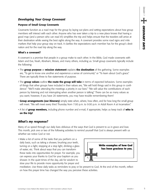# *Developing Your Group Covenant*

#### **Purpose of Small Group Covenants**

Covenants function as a road map for the group by laying out plans and setting expectations about how group members will interact with each other. Anyone who has ever taken a trip to a new place knows that having a good map (and a person who can read it!) simplifies the trip and helps ensure that the travelers will arrive at their destination while seeing the best sights along the way. A covenant provides some road signs and mile markers that help your group stay on track. It clarifies the expectations each member has for the group's destination and for the road trip along the way.

#### **What's a covenant?**

A covenant is a promise that people in a group make to each other. In the Bible, God made covenants with Adam and Eve, Noah, Abraham, Moses, and many others, including us. Small group covenants typically include the following:

- The **group purpose** or **mission statement** explains **the destination** of the gathering. Some examples are, "To get to know one another and experience a sense of community" or "To learn about God's grace." There are typically three to five statements of purpose.
- The **group values** outline **the route the group will take** in terms of expected behaviors. Some examples of things that other groups have included in their values are, "We will hold things said in this group in confidence." "We'll make attending the meetings a priority in our lives." "We will value the contributions of each person by listening and not interrupting when another person is talking." There can be as many values as you want; however, if you have 20 statements, you may have trouble remembering them!
- **Group arrangements (our itinerary)** simply state when, where, how often, and for how long the small group will meet. "We will meet every third Thursday from 7:00 p.m. to 9:00 p.m. in Adult Room A at Incarnation."
- A list of **group members,** including phone number and e-mail, if appropriate, helps us keep track of **who is on the trip!**

# *What's my response?*

Many of us speed through our daily lives oblivious of the ways that God is present to us in grace and love. This month, pick one or two of the following activities to remind yourself that God is always present with us whether we notice God or not.

• Make a list of some of the tasks that you perform on a daily basis, such as taking a shower, brushing your teeth, turning on a light, stopping at a stop light, drinking a glass of water, etc. Think about ways that you can transform these tasks into opportunities for prayer. For example, you can express your thanks to God for your baptism as you shower. In the quiet times of the day, ask for wisdom to slow your life to provide more opportunity for prayer and



meditation. Use these daily tasks as reminders to pray or be present to God. At the end of the month, reflect on how this prayer time has changed the way you perceive these activities.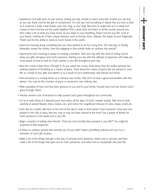- Experience God with each of your senses. During one day, resolve to savor every bite of what you eat and, as you eat, thank God for the gift of nourishment. On one day, find something in nature that you love to look at. It could be a shell, a leaf, flower, rock, tree, frog, or your dog! Take time to really look at it in detail and marvel at how God has put the world together! Pick a quiet time and listen to all the sounds around you, then make a list of what you have heard. As you listen to your breathing, thank God for your life. Look at your hands, noticing all of their unique features, such as bumps, lines, calluses, the shape of your fingernails. Thank God for the ability to serve as God's hands in the world. at the number of the state into fact the state of the state of the state and the state of the state of the state of the state of the state of the state of the state of the state of the state of the state of the state of th
- Spend an evening doing something that you have wanted to do for a long time. The next day, or shortly thereafter, review the activity. How did engaging in that activity make an ordinary day special?
- Spend time each morning in prayer or reading a devotion. Start your day with the ritual of asking God to show you gifts and grace and God's presence. Starting your day with this attitude of openness will make you more aware of how to look for God's activity in your life throughout each day.
- Rent the movie *A River Runs Through It.* As you watch the movie, think about how the author portrays the ordinary pastime of fly-fishing as a means of grace. Think about the means of grace that are present in your life as a result of your gifts and talents or as a result of your relationships with friends and family.
- Visit someone in a nursing home or a memory care center. Take time to have a good conversation with this person. You may be the moment of grace in someone's very ordinary day.
- Write examples of how God has been gracious to you and to your family. Include how God has shown God's grace through others.
- Practice random acts of kindness to help spread God's grace throughout our community.
- Go on a walk. Move at a leisurely pace and notice all the signs of God's creative activity. Take time to look carefully at several flowers, trees, insects, etc., and notice the magnificent intricacy of color, shape, smell, etc.
- Each day for a week, take time at the end of the day to write or think about "God moments." How was God present in this day in ways, that you may or may not have noticed at the time? Say a prayer of thanks for God's presence in the world and in your life
- Begin a practice of asking close friends, "How has God recently been present in your life?" You might be surprised at their responses.
- Is there an ordinary symbol that reminds you of your faith? Select something ordinary and use it as a reminder of God's gift of grace.
- Make a list of the things that get in the way of sensing God's presence. Select one to remove, and then make a list of the things that open you to God's presence, and select one to incorporate into your life.